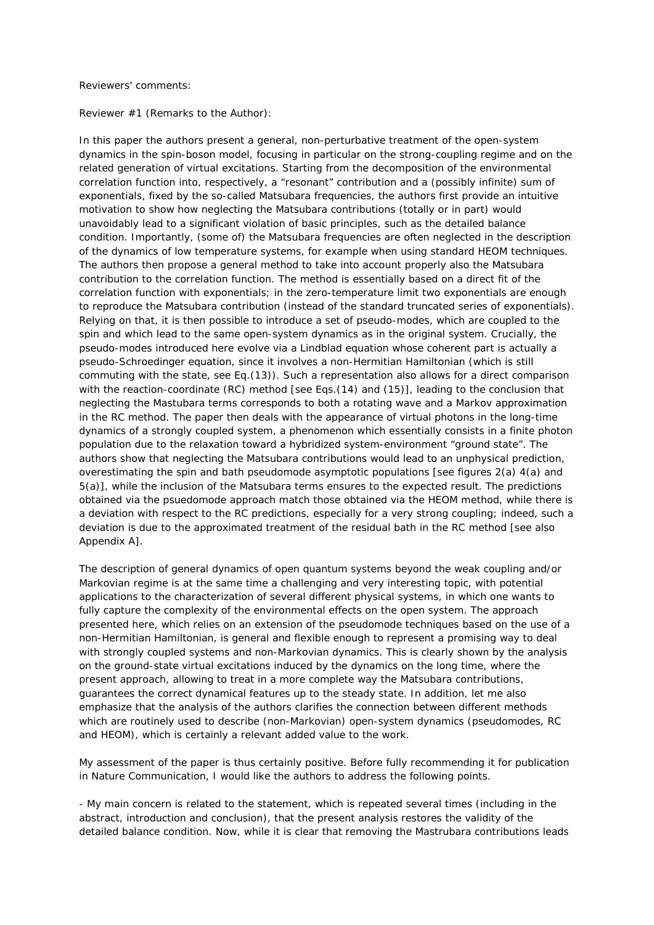Reviewers' comments:

Reviewer #1 (Remarks to the Author):

In this paper the authors present a general, non-perturbative treatment of the open-system dynamics in the spin-boson model, focusing in particular on the strong-coupling regime and on the related generation of virtual excitations. Starting from the decomposition of the environmental correlation function into, respectively, a "resonant" contribution and a (possibly infinite) sum of exponentials, fixed by the so-called Matsubara frequencies, the authors first provide an intuitive motivation to show how neglecting the Matsubara contributions (totally or in part) would unavoidably lead to a significant violation of basic principles, such as the detailed balance condition. Importantly, (some of) the Matsubara frequencies are often neglected in the description of the dynamics of low temperature systems, for example when using standard HEOM techniques. The authors then propose a general method to take into account properly also the Matsubara contribution to the correlation function. The method is essentially based on a direct fit of the correlation function with exponentials; in the zero-temperature limit two exponentials are enough to reproduce the Matsubara contribution (instead of the standard truncated series of exponentials). Relying on that, it is then possible to introduce a set of pseudo-modes, which are coupled to the spin and which lead to the same open-system dynamics as in the original system. Crucially, the pseudo-modes introduced here evolve via a Lindblad equation whose coherent part is actually a pseudo-Schroedinger equation, since it involves a non-Hermitian Hamiltonian (which is still commuting with the state, see Eq.(13)). Such a representation also allows for a direct comparison with the reaction-coordinate (RC) method [see Eqs.(14) and (15)], leading to the conclusion that neglecting the Mastubara terms corresponds to both a rotating wave and a Markov approximation in the RC method. The paper then deals with the appearance of virtual photons in the long-time dynamics of a strongly coupled system, a phenomenon which essentially consists in a finite photon population due to the relaxation toward a hybridized system-environment "ground state". The authors show that neglecting the Matsubara contributions would lead to an unphysical prediction, overestimating the spin and bath pseudomode asymptotic populations [see figures 2(a) 4(a) and 5(a)], while the inclusion of the Matsubara terms ensures to the expected result. The predictions obtained via the psuedomode approach match those obtained via the HEOM method, while there is a deviation with respect to the RC predictions, especially for a very strong coupling; indeed, such a deviation is due to the approximated treatment of the residual bath in the RC method [see also Appendix A].

The description of general dynamics of open quantum systems beyond the weak coupling and/or Markovian regime is at the same time a challenging and very interesting topic, with potential applications to the characterization of several different physical systems, in which one wants to fully capture the complexity of the environmental effects on the open system. The approach presented here, which relies on an extension of the pseudomode techniques based on the use of a non-Hermitian Hamiltonian, is general and flexible enough to represent a promising way to deal with strongly coupled systems and non-Markovian dynamics. This is clearly shown by the analysis on the ground-state virtual excitations induced by the dynamics on the long time, where the present approach, allowing to treat in a more complete way the Matsubara contributions, guarantees the correct dynamical features up to the steady state. In addition, let me also emphasize that the analysis of the authors clarifies the connection between different methods which are routinely used to describe (non-Markovian) open-system dynamics (pseudomodes, RC and HEOM), which is certainly a relevant added value to the work.

My assessment of the paper is thus certainly positive. Before fully recommending it for publication in Nature Communication, I would like the authors to address the following points.

- My main concern is related to the statement, which is repeated several times (including in the abstract, introduction and conclusion), that the present analysis restores the validity of the detailed balance condition. Now, while it is clear that removing the Mastrubara contributions leads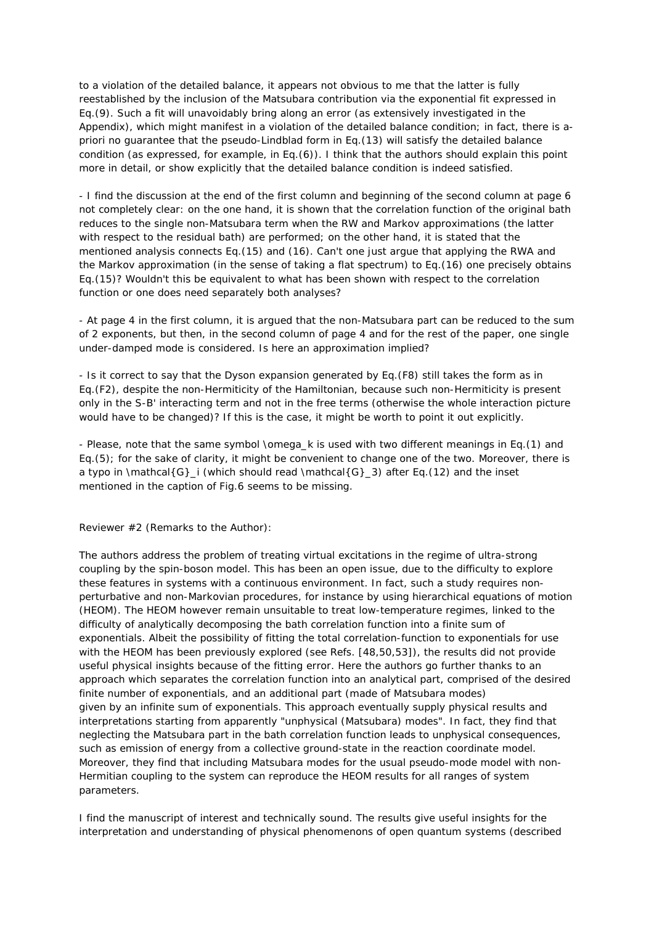to a violation of the detailed balance, it appears not obvious to me that the latter is fully reestablished by the inclusion of the Matsubara contribution via the exponential fit expressed in Eq.(9). Such a fit will unavoidably bring along an error (as extensively investigated in the Appendix), which might manifest in a violation of the detailed balance condition; in fact, there is apriori no guarantee that the pseudo-Lindblad form in Eq.(13) will satisfy the detailed balance condition (as expressed, for example, in Eq.(6)). I think that the authors should explain this point more in detail, or show explicitly that the detailed balance condition is indeed satisfied.

- I find the discussion at the end of the first column and beginning of the second column at page 6 not completely clear: on the one hand, it is shown that the correlation function of the original bath reduces to the single non-Matsubara term when the RW and Markov approximations (the latter with respect to the residual bath) are performed; on the other hand, it is stated that the mentioned analysis connects Eq.(15) and (16). Can't one just argue that applying the RWA and the Markov approximation (in the sense of taking a flat spectrum) to Eq.(16) one precisely obtains Eq.(15)? Wouldn't this be equivalent to what has been shown with respect to the correlation function or one does need separately both analyses?

- At page 4 in the first column, it is argued that the non-Matsubara part can be reduced to the sum of 2 exponents, but then, in the second column of page 4 and for the rest of the paper, one single under-damped mode is considered. Is here an approximation implied?

- Is it correct to say that the Dyson expansion generated by Eq.(F8) still takes the form as in Eq.(F2), despite the non-Hermiticity of the Hamiltonian, because such non-Hermiticity is present only in the S-B' interacting term and not in the free terms (otherwise the whole interaction picture would have to be changed)? If this is the case, it might be worth to point it out explicitly.

- Please, note that the same symbol \omega\_k is used with two different meanings in Eq.(1) and Eq.(5); for the sake of clarity, it might be convenient to change one of the two. Moreover, there is a typo in  $\mathcal{G}_i$  (which should read  $\mathcal{G}_i$  at  $G_i$ ) after Eq.(12) and the inset mentioned in the caption of Fig.6 seems to be missing.

Reviewer #2 (Remarks to the Author):

The authors address the problem of treating virtual excitations in the regime of ultra-strong coupling by the spin-boson model. This has been an open issue, due to the difficulty to explore these features in systems with a continuous environment. In fact, such a study requires nonperturbative and non-Markovian procedures, for instance by using hierarchical equations of motion (HEOM). The HEOM however remain unsuitable to treat low-temperature regimes, linked to the difficulty of analytically decomposing the bath correlation function into a finite sum of exponentials. Albeit the possibility of fitting the total correlation-function to exponentials for use with the HEOM has been previously explored (see Refs. [48,50,53]), the results did not provide useful physical insights because of the fitting error. Here the authors go further thanks to an approach which separates the correlation function into an analytical part, comprised of the desired finite number of exponentials, and an additional part (made of Matsubara modes) given by an infinite sum of exponentials. This approach eventually supply physical results and interpretations starting from apparently "unphysical (Matsubara) modes". In fact, they find that neglecting the Matsubara part in the bath correlation function leads to unphysical consequences, such as emission of energy from a collective ground-state in the reaction coordinate model. Moreover, they find that including Matsubara modes for the usual pseudo-mode model with non-Hermitian coupling to the system can reproduce the HEOM results for all ranges of system parameters.

I find the manuscript of interest and technically sound. The results give useful insights for the interpretation and understanding of physical phenomenons of open quantum systems (described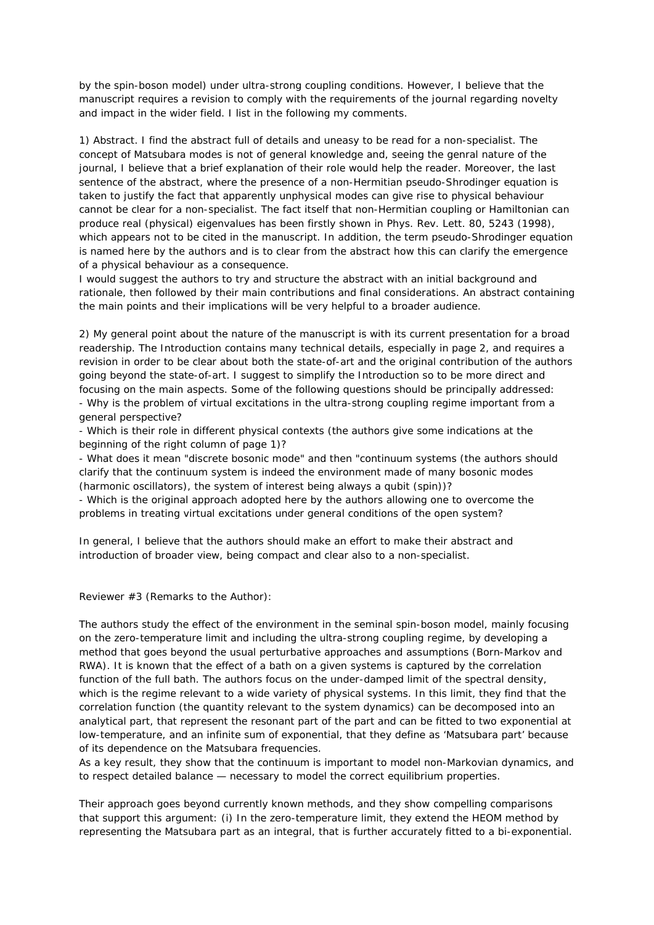by the spin-boson model) under ultra-strong coupling conditions. However, I believe that the manuscript requires a revision to comply with the requirements of the journal regarding novelty and impact in the wider field. I list in the following my comments.

1) Abstract. I find the abstract full of details and uneasy to be read for a non-specialist. The concept of Matsubara modes is not of general knowledge and, seeing the genral nature of the journal, I believe that a brief explanation of their role would help the reader. Moreover, the last sentence of the abstract, where the presence of a non-Hermitian pseudo-Shrodinger equation is taken to justify the fact that apparently unphysical modes can give rise to physical behaviour cannot be clear for a non-specialist. The fact itself that non-Hermitian coupling or Hamiltonian can produce real (physical) eigenvalues has been firstly shown in Phys. Rev. Lett. 80, 5243 (1998), which appears not to be cited in the manuscript. In addition, the term pseudo-Shrodinger equation is named here by the authors and is to clear from the abstract how this can clarify the emergence of a physical behaviour as a consequence.

I would suggest the authors to try and structure the abstract with an initial background and rationale, then followed by their main contributions and final considerations. An abstract containing the main points and their implications will be very helpful to a broader audience.

2) My general point about the nature of the manuscript is with its current presentation for a broad readership. The Introduction contains many technical details, especially in page 2, and requires a revision in order to be clear about both the state-of-art and the original contribution of the authors going beyond the state-of-art. I suggest to simplify the Introduction so to be more direct and focusing on the main aspects. Some of the following questions should be principally addressed: - Why is the problem of virtual excitations in the ultra-strong coupling regime important from a general perspective?

- Which is their role in different physical contexts (the authors give some indications at the beginning of the right column of page 1)?

- What does it mean "discrete bosonic mode" and then "continuum systems (the authors should clarify that the continuum system is indeed the environment made of many bosonic modes (harmonic oscillators), the system of interest being always a qubit (spin))?

- Which is the original approach adopted here by the authors allowing one to overcome the problems in treating virtual excitations under general conditions of the open system?

In general, I believe that the authors should make an effort to make their abstract and introduction of broader view, being compact and clear also to a non-specialist.

Reviewer #3 (Remarks to the Author):

The authors study the effect of the environment in the seminal spin-boson model, mainly focusing on the zero-temperature limit and including the ultra-strong coupling regime, by developing a method that goes beyond the usual perturbative approaches and assumptions (Born-Markov and RWA). It is known that the effect of a bath on a given systems is captured by the correlation function of the full bath. The authors focus on the under-damped limit of the spectral density, which is the regime relevant to a wide variety of physical systems. In this limit, they find that the correlation function (the quantity relevant to the system dynamics) can be decomposed into an analytical part, that represent the resonant part of the part and can be fitted to two exponential at low-temperature, and an infinite sum of exponential, that they define as 'Matsubara part' because of its dependence on the Matsubara frequencies.

As a key result, they show that the continuum is important to model non-Markovian dynamics, and to respect detailed balance — necessary to model the correct equilibrium properties.

Their approach goes beyond currently known methods, and they show compelling comparisons that support this argument: (i) In the zero-temperature limit, they extend the HEOM method by representing the Matsubara part as an integral, that is further accurately fitted to a bi-exponential.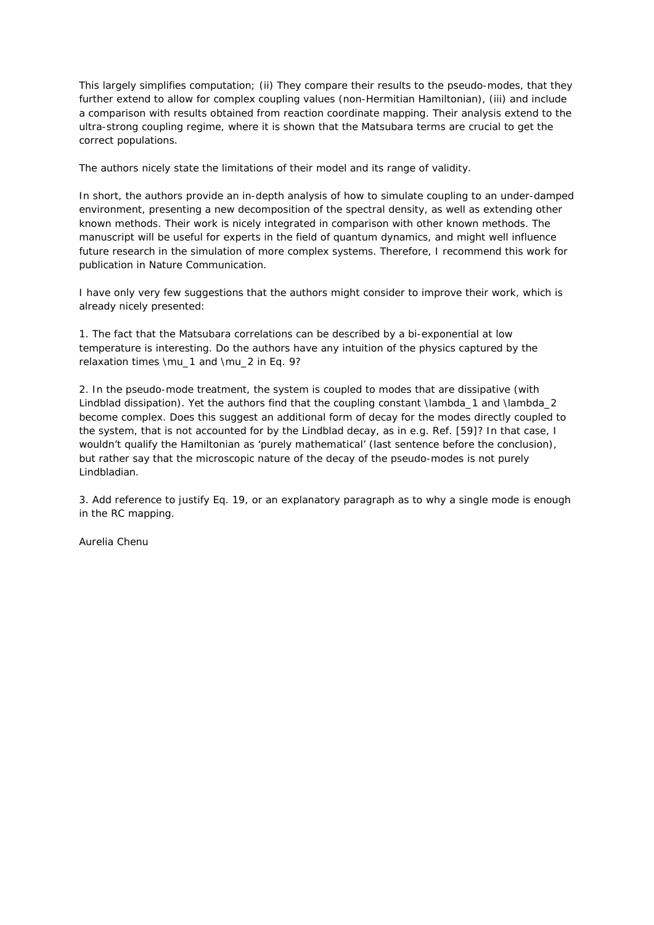This largely simplifies computation; (ii) They compare their results to the pseudo-modes, that they further extend to allow for complex coupling values (non-Hermitian Hamiltonian), (iii) and include a comparison with results obtained from reaction coordinate mapping. Their analysis extend to the ultra-strong coupling regime, where it is shown that the Matsubara terms are crucial to get the correct populations.

The authors nicely state the limitations of their model and its range of validity.

In short, the authors provide an in-depth analysis of how to simulate coupling to an under-damped environment, presenting a new decomposition of the spectral density, as well as extending other known methods. Their work is nicely integrated in comparison with other known methods. The manuscript will be useful for experts in the field of quantum dynamics, and might well influence future research in the simulation of more complex systems. Therefore, I recommend this work for publication in Nature Communication.

I have only very few suggestions that the authors might consider to improve their work, which is already nicely presented:

1. The fact that the Matsubara correlations can be described by a bi-exponential at low temperature is interesting. Do the authors have any intuition of the physics captured by the relaxation times \mu\_1 and \mu\_2 in Eq. 9?

2. In the pseudo-mode treatment, the system is coupled to modes that are dissipative (with Lindblad dissipation). Yet the authors find that the coupling constant \lambda\_1 and \lambda\_2 become complex. Does this suggest an additional form of decay for the modes directly coupled to the system, that is not accounted for by the Lindblad decay, as in e.g. Ref. [59]? In that case, I wouldn't qualify the Hamiltonian as 'purely mathematical' (last sentence before the conclusion), but rather say that the microscopic nature of the decay of the pseudo-modes is not purely Lindbladian.

3. Add reference to justify Eq. 19, or an explanatory paragraph as to why a single mode is enough in the RC mapping.

Aurelia Chenu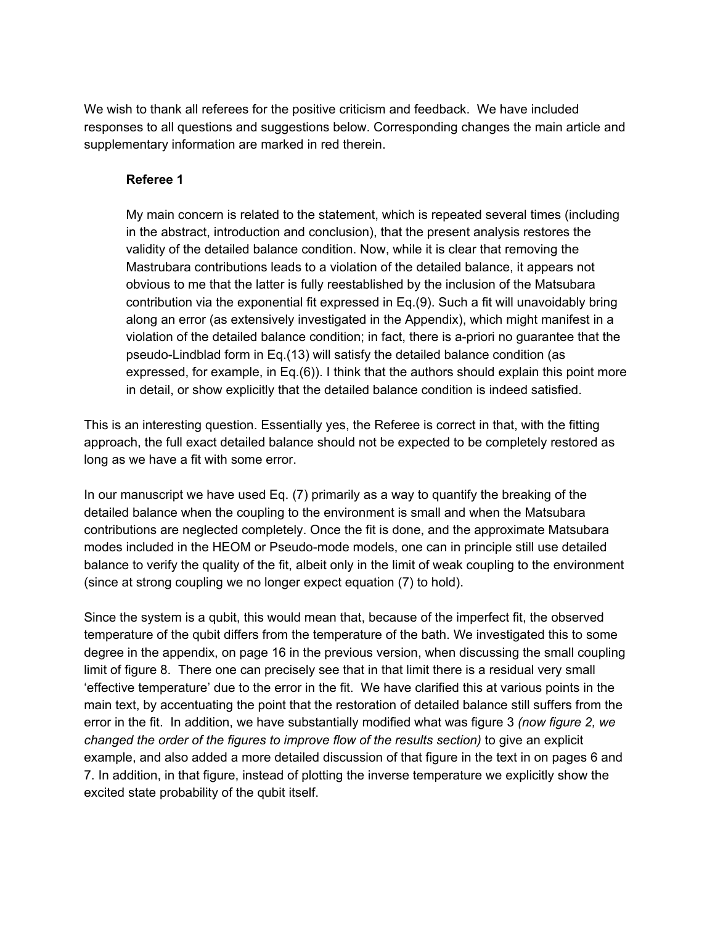We wish to thank all referees for the positive criticism and feedback. We have included responses to all questions and suggestions below. Corresponding changes the main article and supplementary information are marked in red therein.

### **Referee 1**

My main concern is related to the statement, which is repeated several times (including in the abstract, introduction and conclusion), that the present analysis restores the validity of the detailed balance condition. Now, while it is clear that removing the Mastrubara contributions leads to a violation of the detailed balance, it appears not obvious to me that the latter is fully reestablished by the inclusion of the Matsubara contribution via the exponential fit expressed in Eq.(9). Such a fit will unavoidably bring along an error (as extensively investigated in the Appendix), which might manifest in a violation of the detailed balance condition; in fact, there is a-priori no guarantee that the pseudo-Lindblad form in Eq.(13) will satisfy the detailed balance condition (as expressed, for example, in Eq.(6)). I think that the authors should explain this point more in detail, or show explicitly that the detailed balance condition is indeed satisfied.

This is an interesting question. Essentially yes, the Referee is correct in that, with the fitting approach, the full exact detailed balance should not be expected to be completely restored as long as we have a fit with some error.

In our manuscript we have used Eq. (7) primarily as a way to quantify the breaking of the detailed balance when the coupling to the environment is small and when the Matsubara contributions are neglected completely. Once the fit is done, and the approximate Matsubara modes included in the HEOM or Pseudo-mode models, one can in principle still use detailed balance to verify the quality of the fit, albeit only in the limit of weak coupling to the environment (since at strong coupling we no longer expect equation (7) to hold).

Since the system is a qubit, this would mean that, because of the imperfect fit, the observed temperature of the qubit differs from the temperature of the bath. We investigated this to some degree in the appendix, on page 16 in the previous version, when discussing the small coupling limit of figure 8. There one can precisely see that in that limit there is a residual very small 'effective temperature' due to the error in the fit. We have clarified this at various points in the main text, by accentuating the point that the restoration of detailed balance still suffers from the error in the fit. In addition, we have substantially modified what was figure 3 *(now figure 2, we changed the order of the figures to improve flow of the results section)* to give an explicit example, and also added a more detailed discussion of that figure in the text in on pages 6 and 7. In addition, in that figure, instead of plotting the inverse temperature we explicitly show the excited state probability of the qubit itself.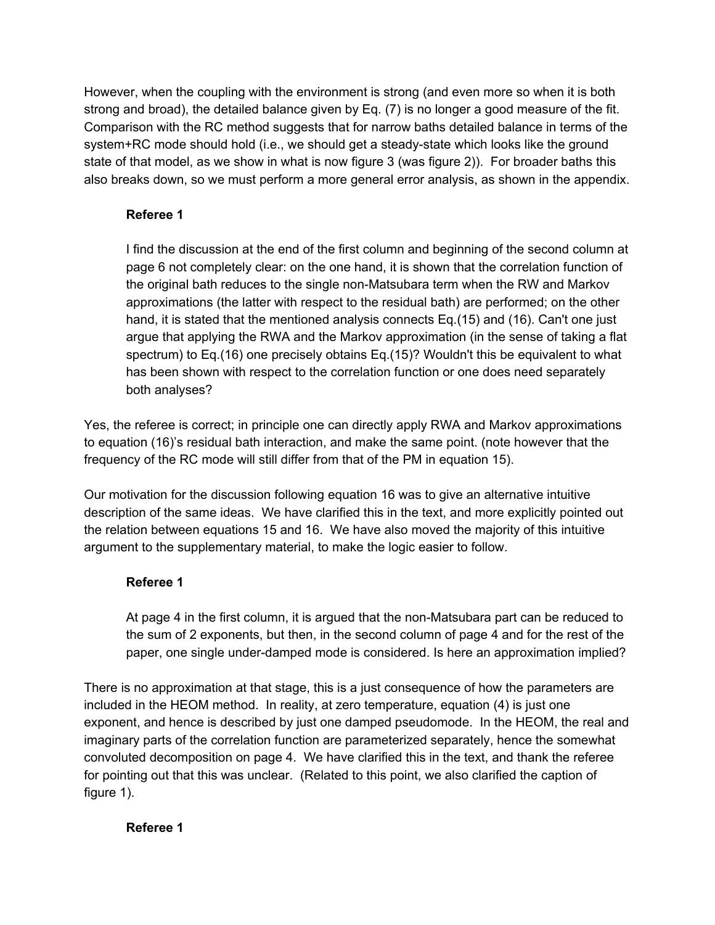However, when the coupling with the environment is strong (and even more so when it is both strong and broad), the detailed balance given by Eq. (7) is no longer a good measure of the fit. Comparison with the RC method suggests that for narrow baths detailed balance in terms of the system+RC mode should hold (i.e., we should get a steady-state which looks like the ground state of that model, as we show in what is now figure 3 (was figure 2)). For broader baths this also breaks down, so we must perform a more general error analysis, as shown in the appendix.

# **Referee 1**

I find the discussion at the end of the first column and beginning of the second column at page 6 not completely clear: on the one hand, it is shown that the correlation function of the original bath reduces to the single non-Matsubara term when the RW and Markov approximations (the latter with respect to the residual bath) are performed; on the other hand, it is stated that the mentioned analysis connects Eq.(15) and (16). Can't one just argue that applying the RWA and the Markov approximation (in the sense of taking a flat spectrum) to Eq.(16) one precisely obtains Eq.(15)? Wouldn't this be equivalent to what has been shown with respect to the correlation function or one does need separately both analyses?

Yes, the referee is correct; in principle one can directly apply RWA and Markov approximations to equation (16)'s residual bath interaction, and make the same point. (note however that the frequency of the RC mode will still differ from that of the PM in equation 15).

Our motivation for the discussion following equation 16 was to give an alternative intuitive description of the same ideas. We have clarified this in the text, and more explicitly pointed out the relation between equations 15 and 16. We have also moved the majority of this intuitive argument to the supplementary material, to make the logic easier to follow.

# **Referee 1**

At page 4 in the first column, it is argued that the non-Matsubara part can be reduced to the sum of 2 exponents, but then, in the second column of page 4 and for the rest of the paper, one single under-damped mode is considered. Is here an approximation implied?

There is no approximation at that stage, this is a just consequence of how the parameters are included in the HEOM method. In reality, at zero temperature, equation (4) is just one exponent, and hence is described by just one damped pseudomode. In the HEOM, the real and imaginary parts of the correlation function are parameterized separately, hence the somewhat convoluted decomposition on page 4. We have clarified this in the text, and thank the referee for pointing out that this was unclear. (Related to this point, we also clarified the caption of figure 1).

# **Referee 1**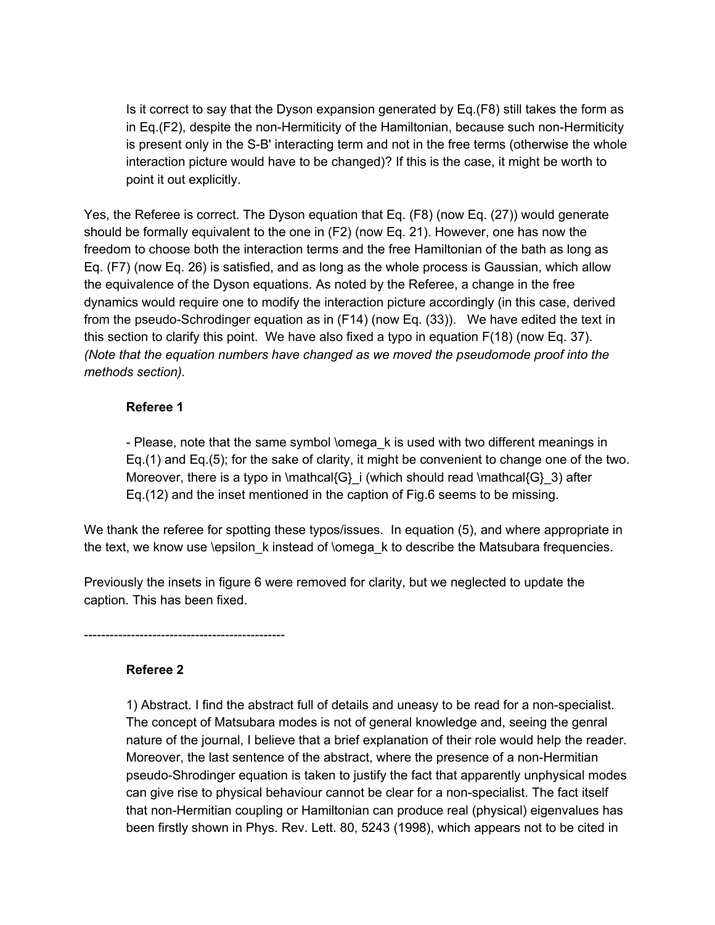Is it correct to say that the Dyson expansion generated by Eq.(F8) still takes the form as in Eq.(F2), despite the non-Hermiticity of the Hamiltonian, because such non-Hermiticity is present only in the S-B' interacting term and not in the free terms (otherwise the whole interaction picture would have to be changed)? If this is the case, it might be worth to point it out explicitly.

Yes, the Referee is correct. The Dyson equation that Eq. (F8) (now Eq. (27)) would generate should be formally equivalent to the one in (F2) (now Eq. 21). However, one has now the freedom to choose both the interaction terms and the free Hamiltonian of the bath as long as Eq. (F7) (now Eq. 26) is satisfied, and as long as the whole process is Gaussian, which allow the equivalence of the Dyson equations. As noted by the Referee, a change in the free dynamics would require one to modify the interaction picture accordingly (in this case, derived from the pseudo-Schrodinger equation as in (F14) (now Eq. (33)). We have edited the text in this section to clarify this point. We have also fixed a typo in equation F(18) (now Eq. 37). *(Note that the equation numbers have changed as we moved the pseudomode proof into the methods section).*

## **Referee 1**

- Please, note that the same symbol \omega\_k is used with two different meanings in Eq.(1) and Eq.(5); for the sake of clarity, it might be convenient to change one of the two. Moreover, there is a typo in  $\mathcal{G}$  i (which should read  $\mathcal{G}$ ) after Eq.(12) and the inset mentioned in the caption of Fig.6 seems to be missing.

We thank the referee for spotting these typos/issues. In equation (5), and where appropriate in the text, we know use \epsilon k instead of \omega k to describe the Matsubara frequencies.

Previously the insets in figure 6 were removed for clarity, but we neglected to update the caption. This has been fixed.

-----------------------------------------------

### **Referee 2**

1) Abstract. I find the abstract full of details and uneasy to be read for a non-specialist. The concept of Matsubara modes is not of general knowledge and, seeing the genral nature of the journal, I believe that a brief explanation of their role would help the reader. Moreover, the last sentence of the abstract, where the presence of a non-Hermitian pseudo-Shrodinger equation is taken to justify the fact that apparently unphysical modes can give rise to physical behaviour cannot be clear for a non-specialist. The fact itself that non-Hermitian coupling or Hamiltonian can produce real (physical) eigenvalues has been firstly shown in Phys. Rev. Lett. 80, 5243 (1998), which appears not to be cited in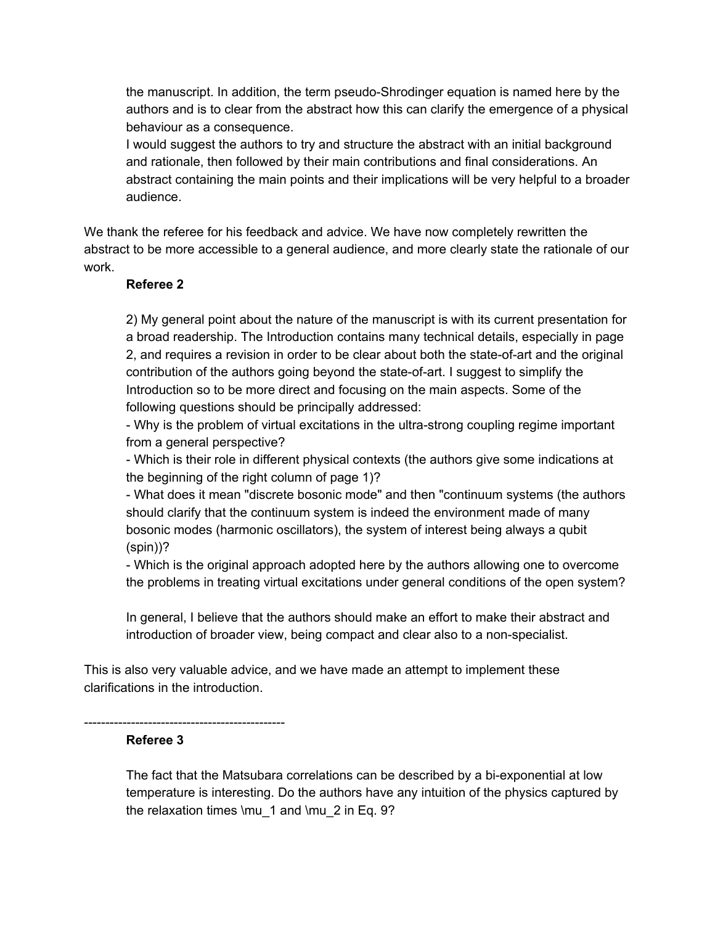the manuscript. In addition, the term pseudo-Shrodinger equation is named here by the authors and is to clear from the abstract how this can clarify the emergence of a physical behaviour as a consequence.

I would suggest the authors to try and structure the abstract with an initial background and rationale, then followed by their main contributions and final considerations. An abstract containing the main points and their implications will be very helpful to a broader audience.

We thank the referee for his feedback and advice. We have now completely rewritten the abstract to be more accessible to a general audience, and more clearly state the rationale of our work.

#### **Referee 2**

2) My general point about the nature of the manuscript is with its current presentation for a broad readership. The Introduction contains many technical details, especially in page 2, and requires a revision in order to be clear about both the state-of-art and the original contribution of the authors going beyond the state-of-art. I suggest to simplify the Introduction so to be more direct and focusing on the main aspects. Some of the following questions should be principally addressed:

- Why is the problem of virtual excitations in the ultra-strong coupling regime important from a general perspective?

- Which is their role in different physical contexts (the authors give some indications at the beginning of the right column of page 1)?

- What does it mean "discrete bosonic mode" and then "continuum systems (the authors should clarify that the continuum system is indeed the environment made of many bosonic modes (harmonic oscillators), the system of interest being always a qubit (spin))?

- Which is the original approach adopted here by the authors allowing one to overcome the problems in treating virtual excitations under general conditions of the open system?

In general, I believe that the authors should make an effort to make their abstract and introduction of broader view, being compact and clear also to a non-specialist.

This is also very valuable advice, and we have made an attempt to implement these clarifications in the introduction.

-----------------------------------------------

### **Referee 3**

The fact that the Matsubara correlations can be described by a bi-exponential at low temperature is interesting. Do the authors have any intuition of the physics captured by the relaxation times \mu\_1 and \mu\_2 in Eq. 9?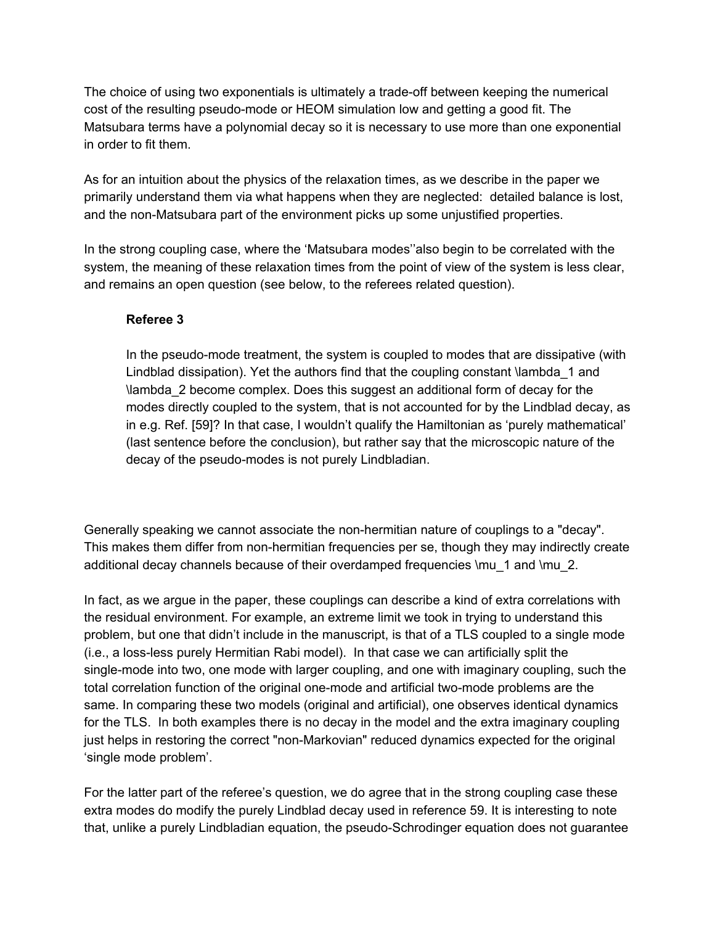The choice of using two exponentials is ultimately a trade-off between keeping the numerical cost of the resulting pseudo-mode or HEOM simulation low and getting a good fit. The Matsubara terms have a polynomial decay so it is necessary to use more than one exponential in order to fit them.

As for an intuition about the physics of the relaxation times, as we describe in the paper we primarily understand them via what happens when they are neglected: detailed balance is lost, and the non-Matsubara part of the environment picks up some unjustified properties.

In the strong coupling case, where the 'Matsubara modes''also begin to be correlated with the system, the meaning of these relaxation times from the point of view of the system is less clear, and remains an open question (see below, to the referees related question).

## **Referee 3**

In the pseudo-mode treatment, the system is coupled to modes that are dissipative (with Lindblad dissipation). Yet the authors find that the coupling constant \lambda\_1 and \lambda\_2 become complex. Does this suggest an additional form of decay for the modes directly coupled to the system, that is not accounted for by the Lindblad decay, as in e.g. Ref. [59]? In that case, I wouldn't qualify the Hamiltonian as 'purely mathematical' (last sentence before the conclusion), but rather say that the microscopic nature of the decay of the pseudo-modes is not purely Lindbladian.

Generally speaking we cannot associate the non-hermitian nature of couplings to a "decay". This makes them differ from non-hermitian frequencies per se, though they may indirectly create additional decay channels because of their overdamped frequencies \mu\_1 and \mu\_2.

In fact, as we argue in the paper, these couplings can describe a kind of extra correlations with the residual environment. For example, an extreme limit we took in trying to understand this problem, but one that didn't include in the manuscript, is that of a TLS coupled to a single mode (i.e., a loss-less purely Hermitian Rabi model). In that case we can artificially split the single-mode into two, one mode with larger coupling, and one with imaginary coupling, such the total correlation function of the original one-mode and artificial two-mode problems are the same. In comparing these two models (original and artificial), one observes identical dynamics for the TLS. In both examples there is no decay in the model and the extra imaginary coupling just helps in restoring the correct "non-Markovian" reduced dynamics expected for the original 'single mode problem'.

For the latter part of the referee's question, we do agree that in the strong coupling case these extra modes do modify the purely Lindblad decay used in reference 59. It is interesting to note that, unlike a purely Lindbladian equation, the pseudo-Schrodinger equation does not guarantee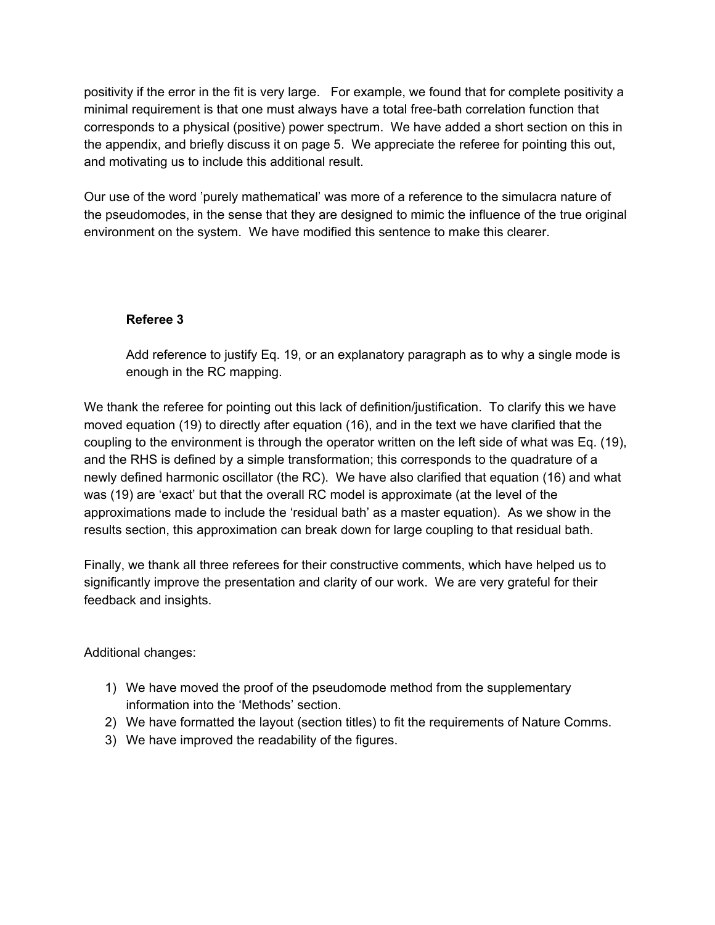positivity if the error in the fit is very large. For example, we found that for complete positivity a minimal requirement is that one must always have a total free-bath correlation function that corresponds to a physical (positive) power spectrum. We have added a short section on this in the appendix, and briefly discuss it on page 5. We appreciate the referee for pointing this out, and motivating us to include this additional result.

Our use of the word 'purely mathematical' was more of a reference to the simulacra nature of the pseudomodes, in the sense that they are designed to mimic the influence of the true original environment on the system. We have modified this sentence to make this clearer.

## **Referee 3**

Add reference to justify Eq. 19, or an explanatory paragraph as to why a single mode is enough in the RC mapping.

We thank the referee for pointing out this lack of definition/justification. To clarify this we have moved equation (19) to directly after equation (16), and in the text we have clarified that the coupling to the environment is through the operator written on the left side of what was Eq. (19), and the RHS is defined by a simple transformation; this corresponds to the quadrature of a newly defined harmonic oscillator (the RC). We have also clarified that equation (16) and what was (19) are 'exact' but that the overall RC model is approximate (at the level of the approximations made to include the 'residual bath' as a master equation). As we show in the results section, this approximation can break down for large coupling to that residual bath.

Finally, we thank all three referees for their constructive comments, which have helped us to significantly improve the presentation and clarity of our work. We are very grateful for their feedback and insights.

Additional changes:

- 1) We have moved the proof of the pseudomode method from the supplementary information into the 'Methods' section.
- 2) We have formatted the layout (section titles) to fit the requirements of Nature Comms.
- 3) We have improved the readability of the figures.